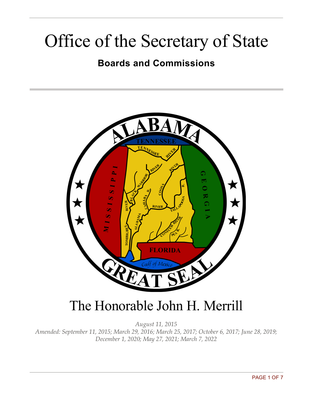# Office of the Secretary of State

### **Boards and Commissions**



# The Honorable John H. Merrill

*August 11, 2015 Amended: September 11, 2015; March 29, 2016; March 25, 2017; October 6, 2017; June 28, 2019; December 1, 2020; May 27, 2021; March 7, 2022*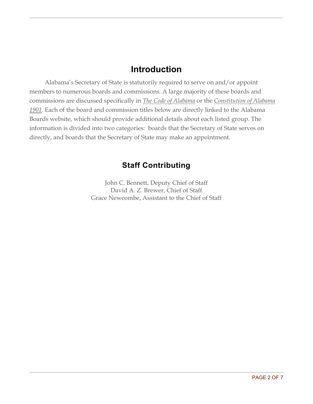#### **Introduction**

Alabama's Secretary of State is statutorily required to serve on and/or appoint members to numerous boards and commissions. A large majority of these boards and commissions are discussed specifically in *The Code of Alabama* or the *Constitution of Alabama 1901*. Each of the board and commission titles below are directly linked to the Alabama Boards website, which should provide additional details about each listed group. The information is divided into two categories: boards that the Secretary of State serves on directly, and boards that the Secretary of State may make an appointment.

#### **Staff Contributing**

John C. Bennett, Deputy Chief of Staff David A. Z. Brewer, Chief of Staff Grace Newcombe, Assistant to the Chief of Staff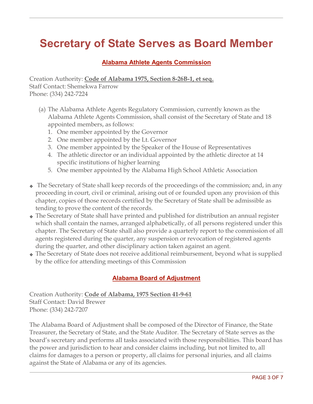# **Secretary of State Serves as Board Member**

#### **Alabama Athlete Agents [Commission](https://www.boards.alabama.gov/bcPublic/bcBoardDetailPrint.aspx?brd=162)**

Creation Authority: **Code of Alabama 1975, Section 8-26B-1, et seq.** Staff Contact: [Shemekwa](mailto:sport.code@sos.alabama.gov?subject=Alabama%20Athlete%20Agent%20Commission) Farrow Phone: (334) 242-7224

- (a) The Alabama Athlete Agents Regulatory Commission, currently known as the Alabama Athlete Agents Commission, shall consist of the Secretary of State and 18 appointed members, as follows:
	- 1. One member appointed by the Governor
	- 2. One member appointed by the Lt. Governor
	- 3. One member appointed by the Speaker of the House of Representatives
	- 4. The athletic director or an individual appointed by the athletic director at 14 specific institutions of higher learning
	- 5. One member appointed by the Alabama High School Athletic Association
- ❖ The Secretary of State shall keep records of the proceedings of the commission; and, in any proceeding in court, civil or criminal, arising out of or founded upon any provision of this chapter, copies of those records certified by the Secretary of State shall be admissible as tending to prove the content of the records.
- ❖ The Secretary of State shall have printed and published for distribution an annual register which shall contain the names, arranged alphabetically, of all persons registered under this chapter. The Secretary of State shall also provide a quarterly report to the commission of all agents registered during the quarter, any suspension or revocation of registered agents during the quarter, and other disciplinary action taken against an agent.
- ❖ The Secretary of State does not receive additional reimbursement, beyond what is supplied by the office for attending meetings of this Commission

#### **Alabama Board of [Adjustment](https://www.boards.alabama.gov/bcPublic/bcBoardDetailPrint.aspx?brd=180)**

Creation Authority: **Code of Alabama, 1975 Section 41-9-61** Staff Contact: David Brewer Phone: (334) 242-7207

The Alabama Board of Adjustment shall be composed of the Director of Finance, the State Treasurer, the Secretary of State, and the State Auditor. The Secretary of State serves as the board's secretary and performs all tasks associated with those responsibilities. This board has the power and jurisdiction to hear and consider claims including, but not limited to, all claims for damages to a person or property, all claims for personal injuries, and all claims against the State of Alabama or any of its agencies.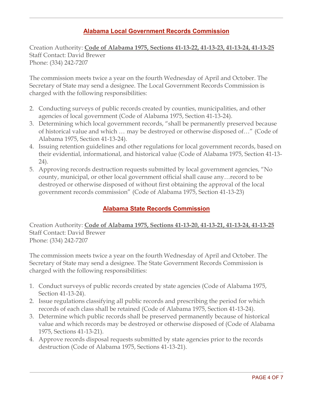#### **Alabama Local Government Records [Commission](https://www.boards.alabama.gov/bcPublic/bcBoardDetailPrint.aspx?brd=151)**

Creation Authority: **Code of [Alabama](http://alisondb.legislature.state.al.us/alison/codeofalabama/1975/coatoc.htm) 1975, Sections [41-13-22,](http://alisondb.legislature.state.al.us/alison/codeofalabama/1975/coatoc.htm) [41-13-23,](http://alisondb.legislature.state.al.us/alison/codeofalabama/1975/coatoc.htm) [41-13-24,](http://alisondb.legislature.state.al.us/alison/codeofalabama/1975/coatoc.htm) 41-13-25** Staff Contact: David [Brewer](mailto:david.brewer@sos.alabama.gov?subject=Alabama%20Local%20Government%20Records%20Commission) Phone: (334) 242-7207

The commission meets twice a year on the fourth Wednesday of April and October. The Secretary of State may send a designee. The Local Government Records Commission is charged with the following responsibilities:

- 2. Conducting surveys of public records created by counties, municipalities, and other agencies of local government (Code of Alabama 1975, Section 41-13-24).
- 3. Determining which local government records, "shall be permanently preserved because of historical value and which … may be destroyed or otherwise disposed of…" (Code of Alabama 1975, Section 41-13-24).
- 4. Issuing retention guidelines and other regulations for local government records, based on their evidential, informational, and historical value (Code of Alabama 1975, Section 41-13- 24).
- 5. Approving records destruction requests submitted by local government agencies, "No county, municipal, or other local government official shall cause any…record to be destroyed or otherwise disposed of without first obtaining the approval of the local government records commission" (Code of Alabama 1975, Section 41-13-23)

#### **Alabama State Records Commission**

Creation Authority: **Code of Alabama 1975, Sections 41-13-20, 41-13-21, 41-13-24, 41-13-25** Staff Contact: David [Brewer](mailto:david.brewer@sos.alabama.gov?subject=Alabama%20State%20Records%20Commission) Phone: (334) 242-7207

The commission meets twice a year on the fourth Wednesday of April and October. The Secretary of State may send a designee. The State Government Records Commission is charged with the following responsibilities:

- 1. Conduct surveys of public records created by state agencies (Code of Alabama 1975, Section 41-13-24).
- 2. Issue regulations classifying all public records and prescribing the period for which records of each class shall be retained (Code of Alabama 1975, Section 41-13-24).
- 3. Determine which public records shall be preserved permanently because of historical value and which records may be destroyed or otherwise disposed of (Code of Alabama 1975, Sections 41-13-21).
- 4. Approve records disposal requests submitted by state agencies prior to the records destruction (Code of Alabama 1975, Sections 41-13-21).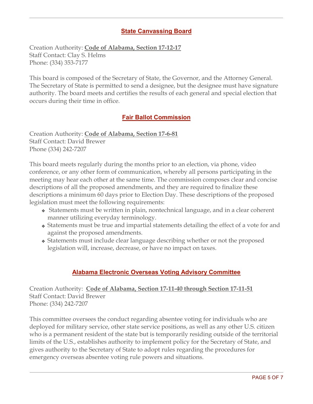#### **State [Canvassing](http://ali.state.al.us/hb100com.pdf) Board**

Creation Authority: **Code of Alabama, Section 17-12-17** Staff Contact: Clay S. Helms Phone: (334) 353-7177

This board is composed of the Secretary of State, the Governor, and the Attorney General. The Secretary of State is permitted to send a designee, but the designee must have signature authority. The board meets and certifies the results of each general and special election that occurs during their time in office.

#### **Fair Ballot [Commission](http://alisondb.legislature.state.al.us/ALISON/SearchableInstruments/2014RS/PrintFiles/HB9-eng.pdf)**

Creation Authority: **Code of [Alabama,](http://www.votelimestone.com/wp-content/uploads/2013/04/Act_2014-399.pdf) Section 17-6-81** Staff Contact: David [Brewer](mailto:david.brewer@sos.alabama.gov?subject=Fair%20Ballot%20Commission) Phone (334) 242-7207

This board meets regularly during the months prior to an election, via phone, video conference, or any other form of communication, whereby all persons participating in the meeting may hear each other at the same time. The commission composes clear and concise descriptions of all the proposed amendments, and they are required to finalize these descriptions a minimum 60 days prior to Election Day. These descriptions of the proposed legislation must meet the following requirements:

- ❖ Statements must be written in plain, nontechnical language, and in a clear coherent manner utilizing everyday terminology.
- ❖ Statements must be true and impartial statements detailing the effect of a vote for and against the proposed amendments.
- ❖ Statements must include clear language describing whether or not the proposed legislation will, increase, decrease, or have no impact on taxes.

#### **Alabama Electronic Overseas Voting Advisory [Committee](https://www.boards.alabama.gov/bcPublic/bcBoardDetailPrint.aspx?brd=476)**

Creation Authority: **Code of Alabama, Section 17-11-40 through Section 17-11-51** Staff Contact: David Brewer Phone: (334) 242-7207

This committee oversees the conduct regarding absentee voting for individuals who are deployed for military service, other state service positions, as well as any other U.S. citizen who is a permanent resident of the state but is temporarily residing outside of the territorial limits of the U.S., establishes authority to implement policy for the Secretary of State, and gives authority to the Secretary of State to adopt rules regarding the procedures for emergency overseas absentee voting rule powers and situations.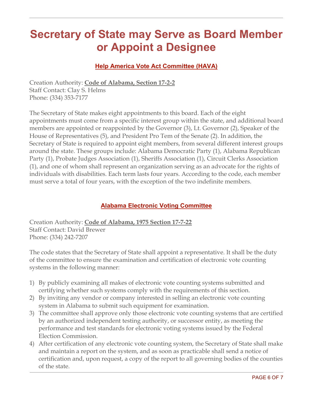## **Secretary of State may Serve as Board Member or Appoint a Designee**

#### **Help America Vote Act [Committee](https://www.boards.alabama.gov/bcPublic/bcBoardDetailPrint.aspx?brd=360) (HAVA)**

Creation Authority: **Code of Alabama, Section 17-2-2** Staff Contact: Clay S. Helms Phone: (334) 353-7177

The Secretary of State makes eight appointments to this board. Each of the eight appointments must come from a specific interest group within the state, and additional board members are appointed or reappointed by the Governor (3), Lt. Governor (2), Speaker of the House of Representatives (5), and President Pro Tem of the Senate (2). In addition, the Secretary of State is required to appoint eight members, from several different interest groups around the state. These groups include: Alabama Democratic Party (1), Alabama Republican Party (1), Probate Judges Association (1), Sheriffs Association (1), Circuit Clerks Association (1), and one of whom shall represent an organization serving as an advocate for the rights of individuals with disabilities. Each term lasts four years. According to the code, each member must serve a total of four years, with the exception of the two indefinite members.

#### **Alabama Electronic Voting [Committee](https://www.boards.alabama.gov/bcPublic/bcBoardDetailPrint.aspx?brd=325)**

Creation Authority: **Code of Alabama, 1975 Section 17-7-22** Staff Contact: David Brewer Phone: (334) 242-7207

The code states that the Secretary of State shall appoint a representative. It shall be the duty of the committee to ensure the examination and certification of electronic vote counting systems in the following manner:

- 1) By publicly examining all makes of electronic vote counting systems submitted and certifying whether such systems comply with the requirements of this section.
- 2) By inviting any vendor or company interested in selling an electronic vote counting system in Alabama to submit such equipment for examination.
- 3) The committee shall approve only those electronic vote counting systems that are certified by an authorized independent testing authority, or successor entity, as meeting the performance and test standards for electronic voting systems issued by the Federal Election Commission.
- 4) After certification of any electronic vote counting system, the Secretary of State shall make and maintain a report on the system, and as soon as practicable shall send a notice of certification and, upon request, a copy of the report to all governing bodies of the counties of the state.